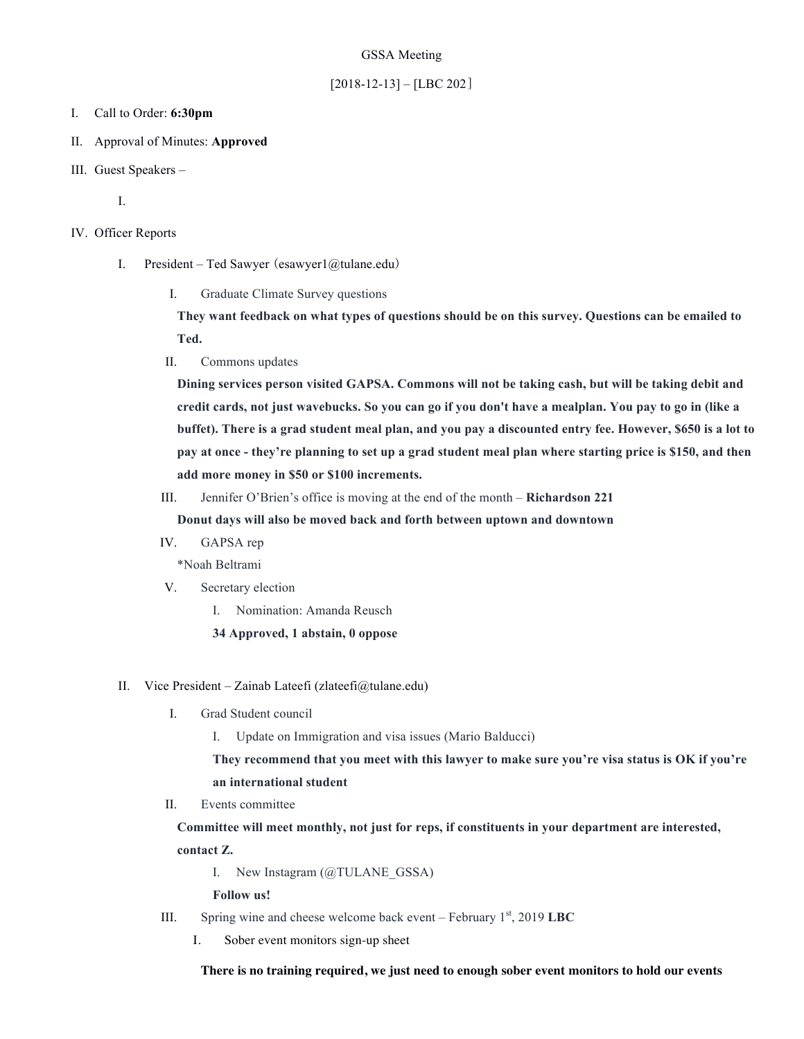### GSSA Meeting

# $[2018-12-13] - [LBC 202]$

#### I. Call to Order: **6:30pm**

- II. Approval of Minutes: **Approved**
- III. Guest Speakers –

I.

#### IV. Officer Reports

- I. President Ted Sawyer (esawyer1@tulane.edu)
	- I. Graduate Climate Survey questions

**They want feedback on what types of questions should be on this survey. Questions can be emailed to Ted.** 

II. Commons updates

**Dining services person visited GAPSA. Commons will not be taking cash, but will be taking debit and credit cards, not just wavebucks. So you can go if you don't have a mealplan. You pay to go in (like a buffet). There is a grad student meal plan, and you pay a discounted entry fee. However, \$650 is a lot to pay at once - they're planning to set up a grad student meal plan where starting price is \$150, and then add more money in \$50 or \$100 increments.** 

III. Jennifer O'Brien's office is moving at the end of the month – **Richardson 221**

**Donut days will also be moved back and forth between uptown and downtown**

IV. GAPSA rep

\*Noah Beltrami

- V. Secretary election
	- I. Nomination: Amanda Reusch
	- **34 Approved, 1 abstain, 0 oppose**

## II. Vice President – Zainab Lateefi (zlateefi@tulane.edu)

- I. Grad Student council
	- I. Update on Immigration and visa issues (Mario Balducci)

**They recommend that you meet with this lawyer to make sure you're visa status is OK if you're an international student**

II. Events committee

**Committee will meet monthly, not just for reps, if constituents in your department are interested, contact Z.**

I. New Instagram (@TULANE\_GSSA)

**Follow us!**

- III. Spring wine and cheese welcome back event February 1st , 2019 **LBC**
	- I. Sober event monitors sign-up sheet

**There is no training required, we just need to enough sober event monitors to hold our events**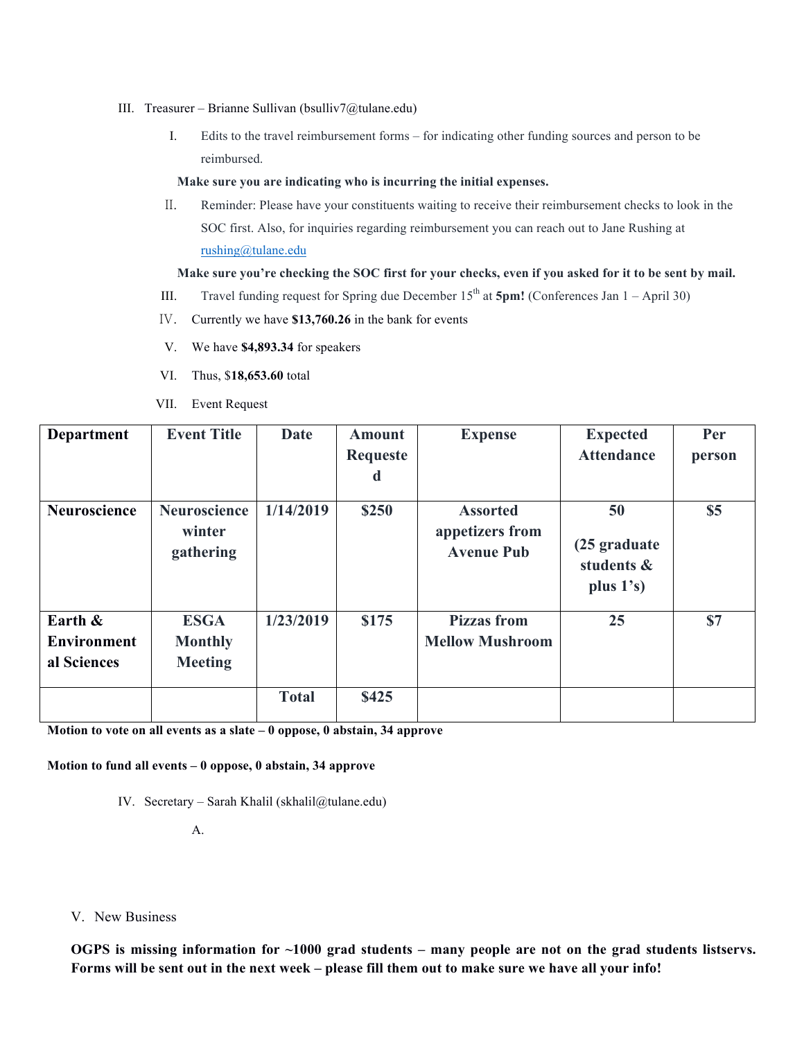- III. Treasurer Brianne Sullivan (bsulliv7@tulane.edu)
	- I. Edits to the travel reimbursement forms for indicating other funding sources and person to be reimbursed.

#### **Make sure you are indicating who is incurring the initial expenses.**

II. Reminder: Please have your constituents waiting to receive their reimbursement checks to look in the SOC first. Also, for inquiries regarding reimbursement you can reach out to Jane Rushing at rushing@tulane.edu

# **Make sure you're checking the SOC first for your checks, even if you asked for it to be sent by mail.**

- III. Travel funding request for Spring due December  $15<sup>th</sup>$  at  $5pm!$  (Conferences Jan  $1 -$  April 30)
- IV. Currently we have **\$13,760.26** in the bank for events
- V. We have **\$4,893.34** for speakers
- VI. Thus, \$**18,653.60** total
- VII. Event Request

| <b>Department</b>                            | <b>Event Title</b>                              | <b>Date</b>  | <b>Amount</b><br>Requeste<br>d | <b>Expense</b>                                          | <b>Expected</b><br><b>Attendance</b>              | Per<br>person |
|----------------------------------------------|-------------------------------------------------|--------------|--------------------------------|---------------------------------------------------------|---------------------------------------------------|---------------|
| Neuroscience                                 | <b>Neuroscience</b><br>winter<br>gathering      | 1/14/2019    | \$250                          | <b>Assorted</b><br>appetizers from<br><b>Avenue Pub</b> | 50<br>(25 graduate)<br>students &<br>plus $1's$ ) | \$5           |
| Earth &<br><b>Environment</b><br>al Sciences | <b>ESGA</b><br><b>Monthly</b><br><b>Meeting</b> | 1/23/2019    | \$175                          | <b>Pizzas</b> from<br><b>Mellow Mushroom</b>            | 25                                                | \$7           |
|                                              |                                                 | <b>Total</b> | \$425                          |                                                         |                                                   |               |

**Motion to vote on all events as a slate – 0 oppose, 0 abstain, 34 approve**

## **Motion to fund all events – 0 oppose, 0 abstain, 34 approve**

IV. Secretary – Sarah Khalil (skhalil@tulane.edu)

A.

V. New Business

**OGPS is missing information for ~1000 grad students – many people are not on the grad students listservs. Forms will be sent out in the next week – please fill them out to make sure we have all your info!**